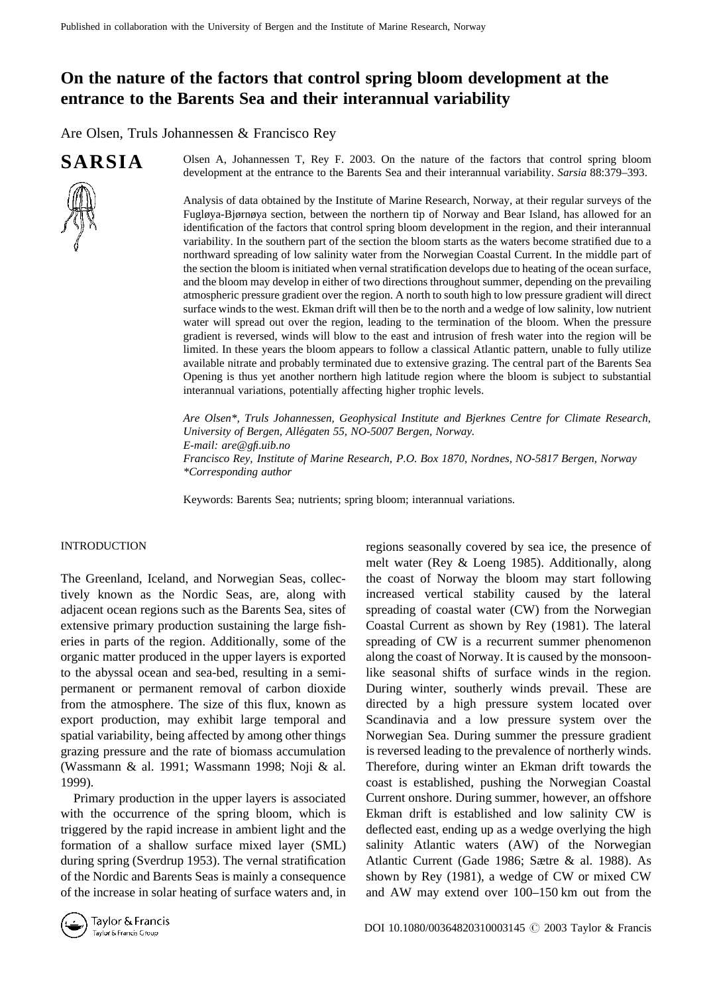## **On the nature of the factors that control spring bloom development at the entrance to the Barents Sea and their interannual variability**

Are Olsen, Truls Johannessen & Francisco Rey

# **SARSIA**



Olsen A, Johannessen T, Rey F. 2003. On the nature of the factors that control spring bloom development at the entrance to the Barents Sea and their interannual variability. *Sarsia* 88:379–393.

Analysis of data obtained by the Institute of Marine Research, Norway, at their regular surveys of the Fugløya-Bjørnøya section, between the northern tip of Norway and Bear Island, has allowed for an identification of the factors that control spring bloom development in the region, and their interannual variability. In the southern part of the section the bloom starts as the waters become stratified due to a northward spreading of low salinity water from the Norwegian Coastal Current. In the middle part of the section the bloom is initiated when vernal stratification develops due to heating of the ocean surface, and the bloom may develop in either of two directions throughout summer, depending on the prevailing atmospheric pressure gradient over the region. A north to south high to low pressure gradient will direct surface winds to the west. Ekman drift will then be to the north and a wedge of low salinity, low nutrient water will spread out over the region, leading to the termination of the bloom. When the pressure gradient is reversed, winds will blow to the east and intrusion of fresh water into the region will be limited. In these years the bloom appears to follow a classical Atlantic pattern, unable to fully utilize available nitrate and probably terminated due to extensive grazing. The central part of the Barents Sea Opening is thus yet another northern high latitude region where the bloom is subject to substantial interannual variations, potentially affecting higher trophic levels.

*Are Olsen\*, Truls Johannessen, Geophysical Institute and Bjerknes Centre for Climate Research, University of Bergen, Alle´gaten 55, NO-5007 Bergen, Norway. E-mail: are@gfi.uib.no Francisco Rey, Institute of Marine Research, P.O. Box 1870, Nordnes, NO-5817 Bergen, Norway \*Corresponding author*

Keywords: Barents Sea; nutrients; spring bloom; interannual variations.

#### INTRODUCTION

The Greenland, Iceland, and Norwegian Seas, collectively known as the Nordic Seas, are, along with adjacent ocean regions such as the Barents Sea, sites of extensive primary production sustaining the large fisheries in parts of the region. Additionally, some of the organic matter produced in the upper layers is exported to the abyssal ocean and sea-bed, resulting in a semipermanent or permanent removal of carbon dioxide from the atmosphere. The size of this flux, known as export production, may exhibit large temporal and spatial variability, being affected by among other things grazing pressure and the rate of biomass accumulation (Wassmann & al. 1991; Wassmann 1998; Noji & al. 1999).

Primary production in the upper layers is associated with the occurrence of the spring bloom, which is triggered by the rapid increase in ambient light and the formation of a shallow surface mixed layer (SML) during spring (Sverdrup 1953). The vernal stratification of the Nordic and Barents Seas is mainly a consequence of the increase in solar heating of surface waters and, in regions seasonally covered by sea ice, the presence of melt water (Rey & Loeng 1985). Additionally, along the coast of Norway the bloom may start following increased vertical stability caused by the lateral spreading of coastal water (CW) from the Norwegian Coastal Current as shown by Rey (1981). The lateral spreading of CW is a recurrent summer phenomenon along the coast of Norway. It is caused by the monsoonlike seasonal shifts of surface winds in the region. During winter, southerly winds prevail. These are directed by a high pressure system located over Scandinavia and a low pressure system over the Norwegian Sea. During summer the pressure gradient is reversed leading to the prevalence of northerly winds. Therefore, during winter an Ekman drift towards the coast is established, pushing the Norwegian Coastal Current onshore. During summer, however, an offshore Ekman drift is established and low salinity CW is deflected east, ending up as a wedge overlying the high salinity Atlantic waters (AW) of the Norwegian Atlantic Current (Gade 1986; Sætre & al. 1988). As shown by Rey (1981), a wedge of CW or mixed CW and AW may extend over 100–150 km out from the

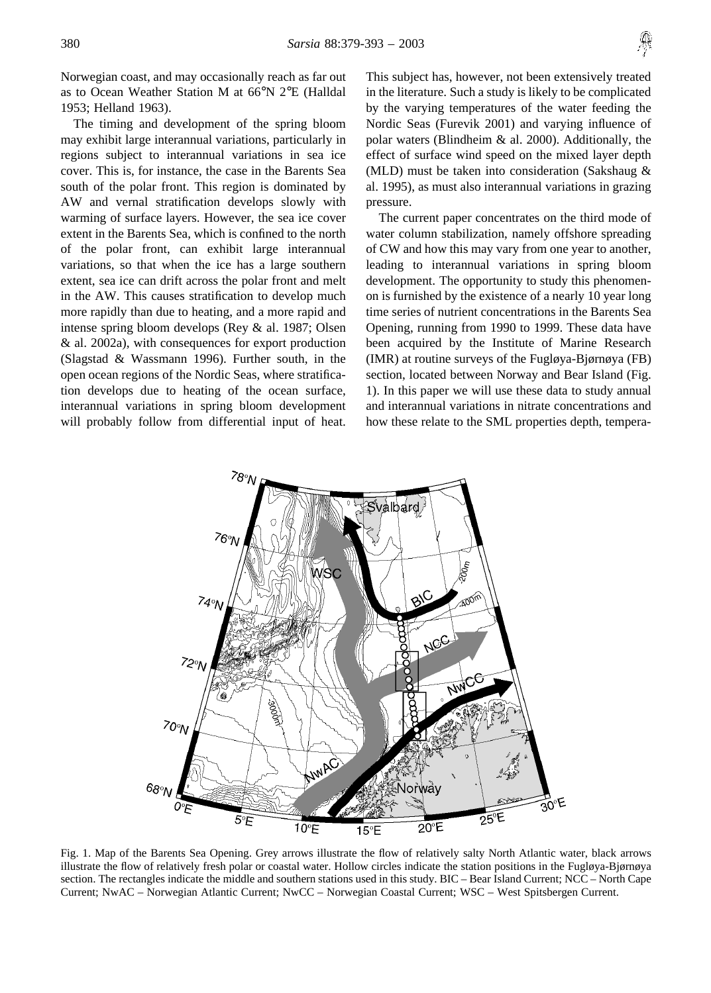Norwegian coast, and may occasionally reach as far out as to Ocean Weather Station M at 66°N 2°E (Halldal 1953; Helland 1963).

The timing and development of the spring bloom may exhibit large interannual variations, particularly in regions subject to interannual variations in sea ice cover. This is, for instance, the case in the Barents Sea south of the polar front. This region is dominated by AW and vernal stratification develops slowly with warming of surface layers. However, the sea ice cover extent in the Barents Sea, which is confined to the north of the polar front, can exhibit large interannual variations, so that when the ice has a large southern extent, sea ice can drift across the polar front and melt in the AW. This causes stratification to develop much more rapidly than due to heating, and a more rapid and intense spring bloom develops (Rey & al. 1987; Olsen & al. 2002a), with consequences for export production (Slagstad & Wassmann 1996). Further south, in the open ocean regions of the Nordic Seas, where stratification develops due to heating of the ocean surface, interannual variations in spring bloom development will probably follow from differential input of heat.

This subject has, however, not been extensively treated in the literature. Such a study is likely to be complicated by the varying temperatures of the water feeding the Nordic Seas (Furevik 2001) and varying influence of polar waters (Blindheim & al. 2000). Additionally, the effect of surface wind speed on the mixed layer depth (MLD) must be taken into consideration (Sakshaug & al. 1995), as must also interannual variations in grazing pressure.

The current paper concentrates on the third mode of water column stabilization, namely offshore spreading of CW and how this may vary from one year to another, leading to interannual variations in spring bloom development. The opportunity to study this phenomenon is furnished by the existence of a nearly 10 year long time series of nutrient concentrations in the Barents Sea Opening, running from 1990 to 1999. These data have been acquired by the Institute of Marine Research (IMR) at routine surveys of the Fugløya-Bjørnøya (FB) section, located between Norway and Bear Island (Fig. 1). In this paper we will use these data to study annual and interannual variations in nitrate concentrations and how these relate to the SML properties depth, tempera-



Fig. 1. Map of the Barents Sea Opening. Grey arrows illustrate the flow of relatively salty North Atlantic water, black arrows illustrate the flow of relatively fresh polar or coastal water. Hollow circles indicate the station positions in the Fugløya-Bjørnøya section. The rectangles indicate the middle and southern stations used in this study. BIC – Bear Island Current; NCC – North Cape Current; NwAC – Norwegian Atlantic Current; NwCC – Norwegian Coastal Current; WSC – West Spitsbergen Current.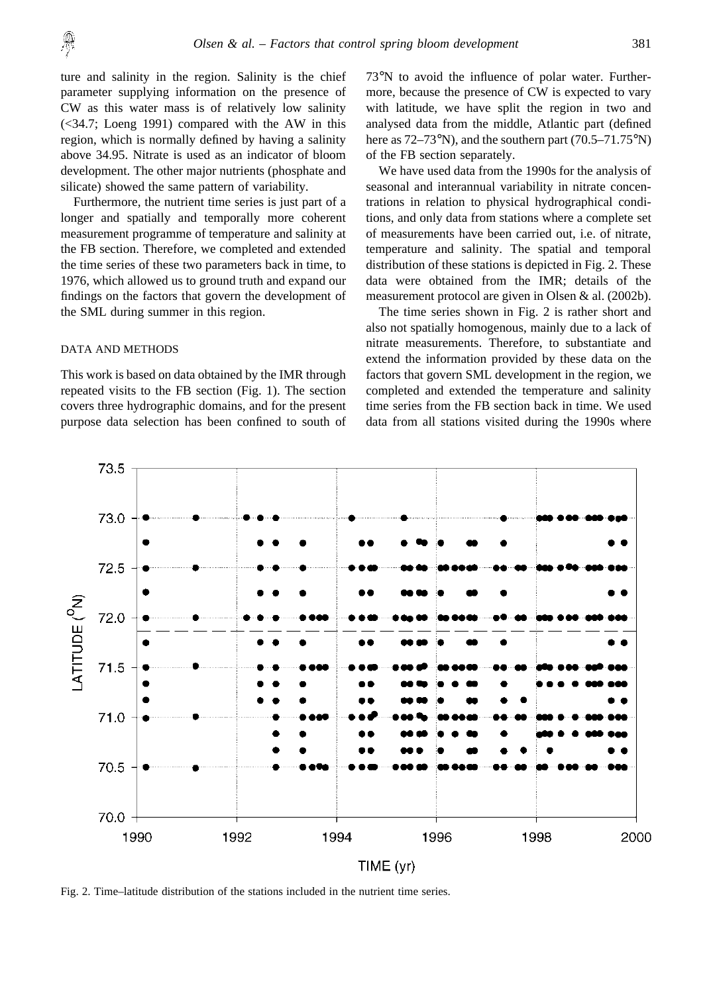ture and salinity in the region. Salinity is the chief parameter supplying information on the presence of CW as this water mass is of relatively low salinity (<34.7; Loeng 1991) compared with the AW in this region, which is normally defined by having a salinity above 34.95. Nitrate is used as an indicator of bloom development. The other major nutrients (phosphate and silicate) showed the same pattern of variability.

Furthermore, the nutrient time series is just part of a longer and spatially and temporally more coherent measurement programme of temperature and salinity at the FB section. Therefore, we completed and extended the time series of these two parameters back in time, to 1976, which allowed us to ground truth and expand our findings on the factors that govern the development of the SML during summer in this region.

#### DATA AND METHODS

This work is based on data obtained by the IMR through repeated visits to the FB section (Fig. 1). The section covers three hydrographic domains, and for the present purpose data selection has been confined to south of 73°N to avoid the influence of polar water. Furthermore, because the presence of CW is expected to vary with latitude, we have split the region in two and analysed data from the middle, Atlantic part (defined here as 72–73°N), and the southern part (70.5–71.75°N) of the FB section separately.

We have used data from the 1990s for the analysis of seasonal and interannual variability in nitrate concentrations in relation to physical hydrographical conditions, and only data from stations where a complete set of measurements have been carried out, i.e. of nitrate, temperature and salinity. The spatial and temporal distribution of these stations is depicted in Fig. 2. These data were obtained from the IMR; details of the measurement protocol are given in Olsen & al. (2002b).

The time series shown in Fig. 2 is rather short and also not spatially homogenous, mainly due to a lack of nitrate measurements. Therefore, to substantiate and extend the information provided by these data on the factors that govern SML development in the region, we completed and extended the temperature and salinity time series from the FB section back in time. We used data from all stations visited during the 1990s where



Fig. 2. Time–latitude distribution of the stations included in the nutrient time series.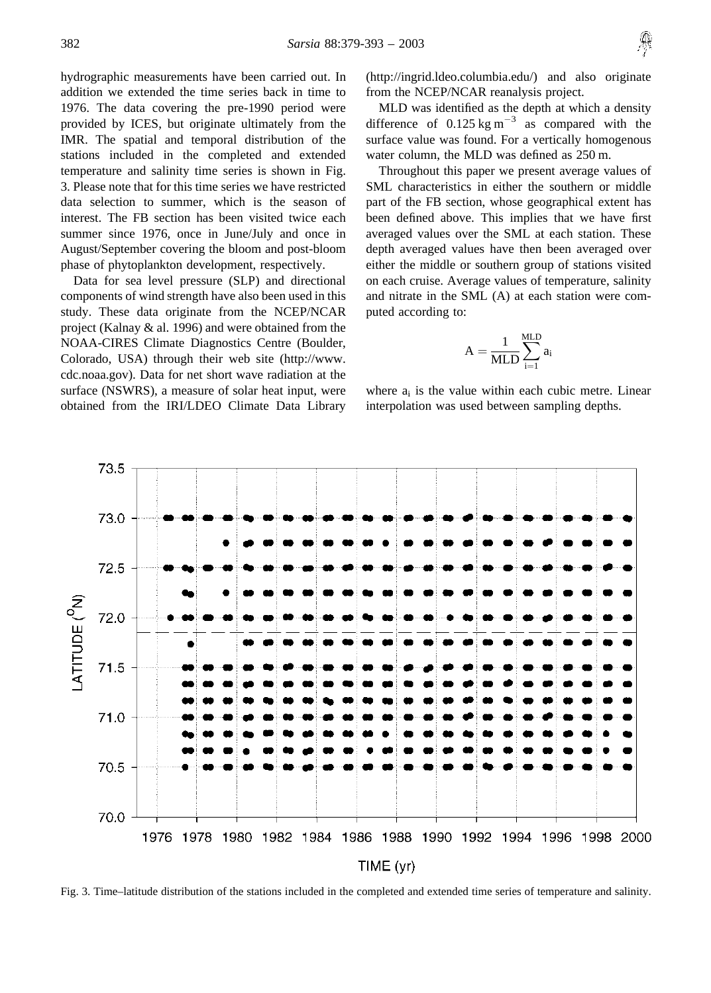hydrographic measurements have been carried out. In addition we extended the time series back in time to 1976. The data covering the pre-1990 period were provided by ICES, but originate ultimately from the IMR. The spatial and temporal distribution of the stations included in the completed and extended temperature and salinity time series is shown in Fig. 3. Please note that for this time series we have restricted data selection to summer, which is the season of interest. The FB section has been visited twice each summer since 1976, once in June/July and once in August/September covering the bloom and post-bloom phase of phytoplankton development, respectively.

Data for sea level pressure (SLP) and directional components of wind strength have also been used in this study. These data originate from the NCEP/NCAR project (Kalnay & al. 1996) and were obtained from the NOAA-CIRES Climate Diagnostics Centre (Boulder, Colorado, USA) through their web site (http://www. cdc.noaa.gov). Data for net short wave radiation at the surface (NSWRS), a measure of solar heat input, were obtained from the IRI/LDEO Climate Data Library (http://ingrid.ldeo.columbia.edu/) and also originate from the NCEP/NCAR reanalysis project.

MLD was identified as the depth at which a density difference of  $0.125 \text{ kg m}^{-3}$  as compared with the surface value was found. For a vertically homogenous water column, the MLD was defined as 250 m.

Throughout this paper we present average values of SML characteristics in either the southern or middle part of the FB section, whose geographical extent has been defined above. This implies that we have first averaged values over the SML at each station. These depth averaged values have then been averaged over either the middle or southern group of stations visited on each cruise. Average values of temperature, salinity and nitrate in the SML (A) at each station were computed according to:

$$
A = \frac{1}{MLD}\sum_{i=1}^{MLD}a_i
$$

where  $a_i$  is the value within each cubic metre. Linear interpolation was used between sampling depths.



Fig. 3. Time–latitude distribution of the stations included in the completed and extended time series of temperature and salinity.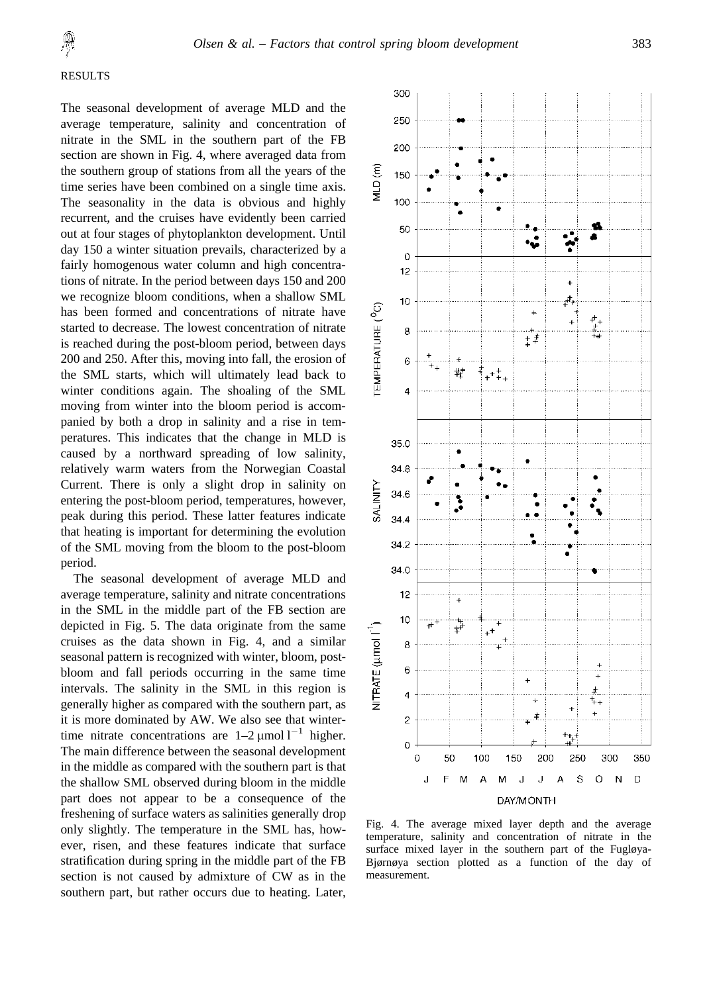#### RESULTS

The seasonal development of average MLD and the average temperature, salinity and concentration of nitrate in the SML in the southern part of the FB section are shown in Fig. 4, where averaged data from the southern group of stations from all the years of the time series have been combined on a single time axis. The seasonality in the data is obvious and highly recurrent, and the cruises have evidently been carried out at four stages of phytoplankton development. Until day 150 a winter situation prevails, characterized by a fairly homogenous water column and high concentrations of nitrate. In the period between days 150 and 200 we recognize bloom conditions, when a shallow SML has been formed and concentrations of nitrate have started to decrease. The lowest concentration of nitrate is reached during the post-bloom period, between days 200 and 250. After this, moving into fall, the erosion of the SML starts, which will ultimately lead back to winter conditions again. The shoaling of the SML moving from winter into the bloom period is accompanied by both a drop in salinity and a rise in temperatures. This indicates that the change in MLD is caused by a northward spreading of low salinity, relatively warm waters from the Norwegian Coastal Current. There is only a slight drop in salinity on entering the post-bloom period, temperatures, however, peak during this period. These latter features indicate that heating is important for determining the evolution of the SML moving from the bloom to the post-bloom period.

The seasonal development of average MLD and average temperature, salinity and nitrate concentrations in the SML in the middle part of the FB section are depicted in Fig. 5. The data originate from the same cruises as the data shown in Fig. 4, and a similar seasonal pattern is recognized with winter, bloom, postbloom and fall periods occurring in the same time intervals. The salinity in the SML in this region is generally higher as compared with the southern part, as it is more dominated by AW. We also see that wintertime nitrate concentrations are  $1-2 \mu$ mol  $1^{-1}$  higher. The main difference between the seasonal development in the middle as compared with the southern part is that the shallow SML observed during bloom in the middle part does not appear to be a consequence of the freshening of surface waters as salinities generally drop only slightly. The temperature in the SML has, however, risen, and these features indicate that surface stratification during spring in the middle part of the FB section is not caused by admixture of CW as in the southern part, but rather occurs due to heating. Later,



Fig. 4. The average mixed layer depth and the average temperature, salinity and concentration of nitrate in the surface mixed layer in the southern part of the Fugløya-Bjørnøya section plotted as a function of the day of measurement.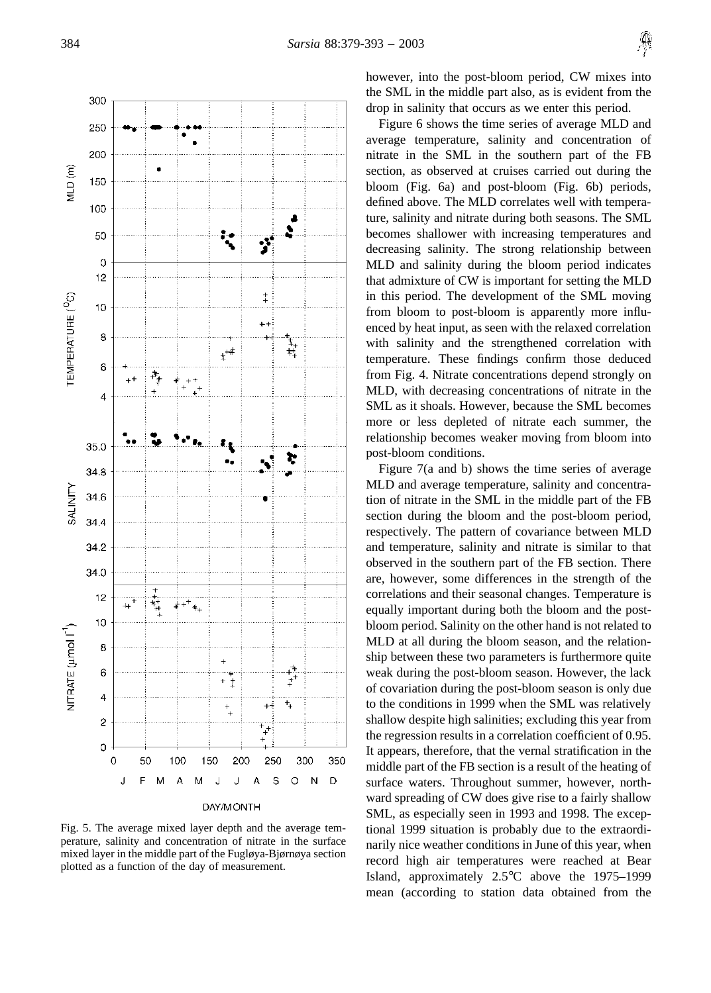

Fig. 5. The average mixed layer depth and the average temperature, salinity and concentration of nitrate in the surface mixed layer in the middle part of the Fugløya-Bjørnøya section plotted as a function of the day of measurement.

however, into the post-bloom period, CW mixes into the SML in the middle part also, as is evident from the drop in salinity that occurs as we enter this period.

Figure 6 shows the time series of average MLD and average temperature, salinity and concentration of nitrate in the SML in the southern part of the FB section, as observed at cruises carried out during the bloom (Fig. 6a) and post-bloom (Fig. 6b) periods, defined above. The MLD correlates well with temperature, salinity and nitrate during both seasons. The SML becomes shallower with increasing temperatures and decreasing salinity. The strong relationship between MLD and salinity during the bloom period indicates that admixture of CW is important for setting the MLD in this period. The development of the SML moving from bloom to post-bloom is apparently more influenced by heat input, as seen with the relaxed correlation with salinity and the strengthened correlation with temperature. These findings confirm those deduced from Fig. 4. Nitrate concentrations depend strongly on MLD, with decreasing concentrations of nitrate in the SML as it shoals. However, because the SML becomes more or less depleted of nitrate each summer, the relationship becomes weaker moving from bloom into post-bloom conditions.

Figure 7(a and b) shows the time series of average MLD and average temperature, salinity and concentration of nitrate in the SML in the middle part of the FB section during the bloom and the post-bloom period, respectively. The pattern of covariance between MLD and temperature, salinity and nitrate is similar to that observed in the southern part of the FB section. There are, however, some differences in the strength of the correlations and their seasonal changes. Temperature is equally important during both the bloom and the postbloom period. Salinity on the other hand is not related to MLD at all during the bloom season, and the relationship between these two parameters is furthermore quite weak during the post-bloom season. However, the lack of covariation during the post-bloom season is only due to the conditions in 1999 when the SML was relatively shallow despite high salinities; excluding this year from the regression results in a correlation coefficient of 0.95. It appears, therefore, that the vernal stratification in the middle part of the FB section is a result of the heating of surface waters. Throughout summer, however, northward spreading of CW does give rise to a fairly shallow SML, as especially seen in 1993 and 1998. The exceptional 1999 situation is probably due to the extraordinarily nice weather conditions in June of this year, when record high air temperatures were reached at Bear Island, approximately 2.5°C above the 1975–1999 mean (according to station data obtained from the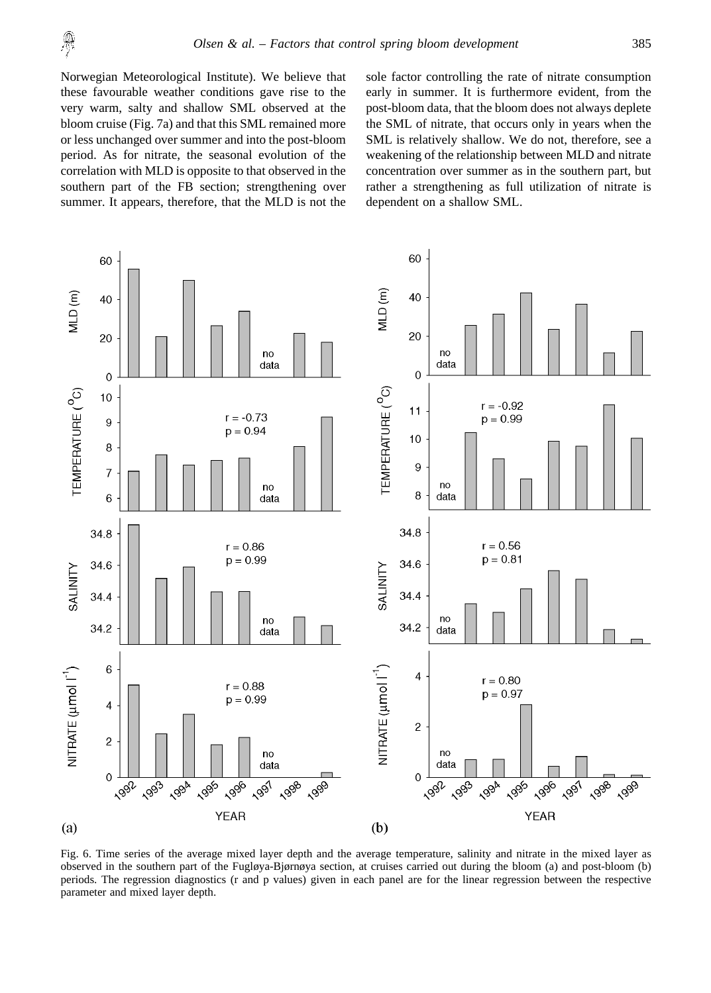Norwegian Meteorological Institute). We believe that these favourable weather conditions gave rise to the very warm, salty and shallow SML observed at the bloom cruise (Fig. 7a) and that this SML remained more or less unchanged over summer and into the post-bloom period. As for nitrate, the seasonal evolution of the correlation with MLD is opposite to that observed in the southern part of the FB section; strengthening over summer. It appears, therefore, that the MLD is not the

Ŗ

sole factor controlling the rate of nitrate consumption early in summer. It is furthermore evident, from the post-bloom data, that the bloom does not always deplete the SML of nitrate, that occurs only in years when the SML is relatively shallow. We do not, therefore, see a weakening of the relationship between MLD and nitrate concentration over summer as in the southern part, but rather a strengthening as full utilization of nitrate is dependent on a shallow SML.



Fig. 6. Time series of the average mixed layer depth and the average temperature, salinity and nitrate in the mixed layer as observed in the southern part of the Fugløya-Bjørnøya section, at cruises carried out during the bloom (a) and post-bloom (b) periods. The regression diagnostics (r and p values) given in each panel are for the linear regression between the respective parameter and mixed layer depth.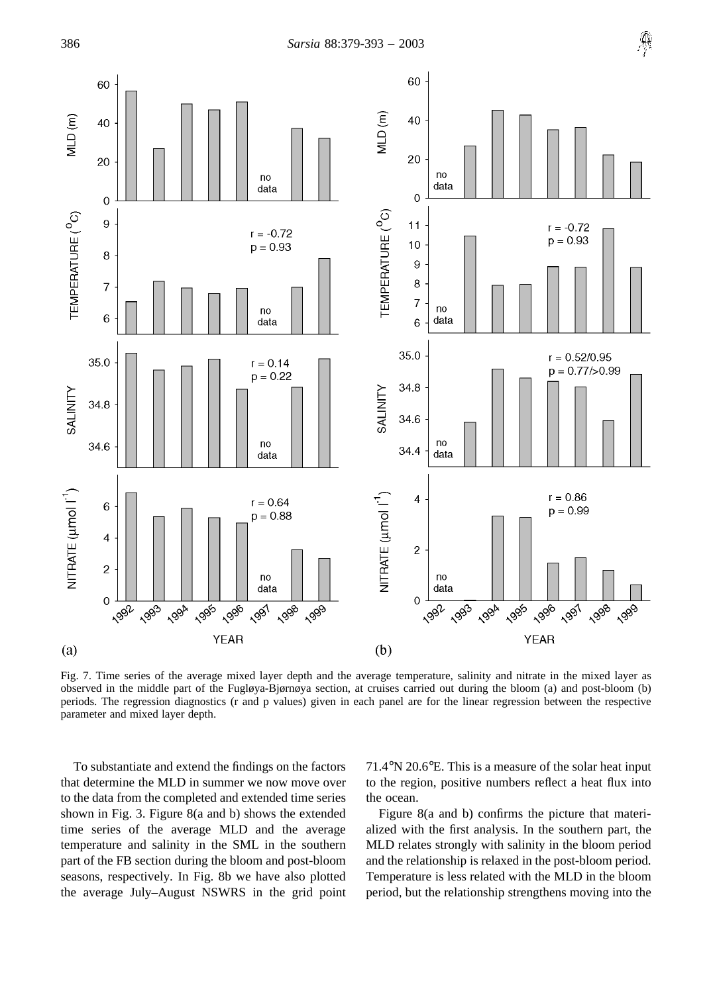

Fig. 7. Time series of the average mixed layer depth and the average temperature, salinity and nitrate in the mixed layer as observed in the middle part of the Fugløya-Bjørnøya section, at cruises carried out during the bloom (a) and post-bloom (b) periods. The regression diagnostics (r and p values) given in each panel are for the linear regression between the respective parameter and mixed layer depth.

To substantiate and extend the findings on the factors that determine the MLD in summer we now move over to the data from the completed and extended time series shown in Fig. 3. Figure 8(a and b) shows the extended time series of the average MLD and the average temperature and salinity in the SML in the southern part of the FB section during the bloom and post-bloom seasons, respectively. In Fig. 8b we have also plotted the average July–August NSWRS in the grid point 71.4°N 20.6°E. This is a measure of the solar heat input to the region, positive numbers reflect a heat flux into the ocean.

Figure 8(a and b) confirms the picture that materialized with the first analysis. In the southern part, the MLD relates strongly with salinity in the bloom period and the relationship is relaxed in the post-bloom period. Temperature is less related with the MLD in the bloom period, but the relationship strengthens moving into the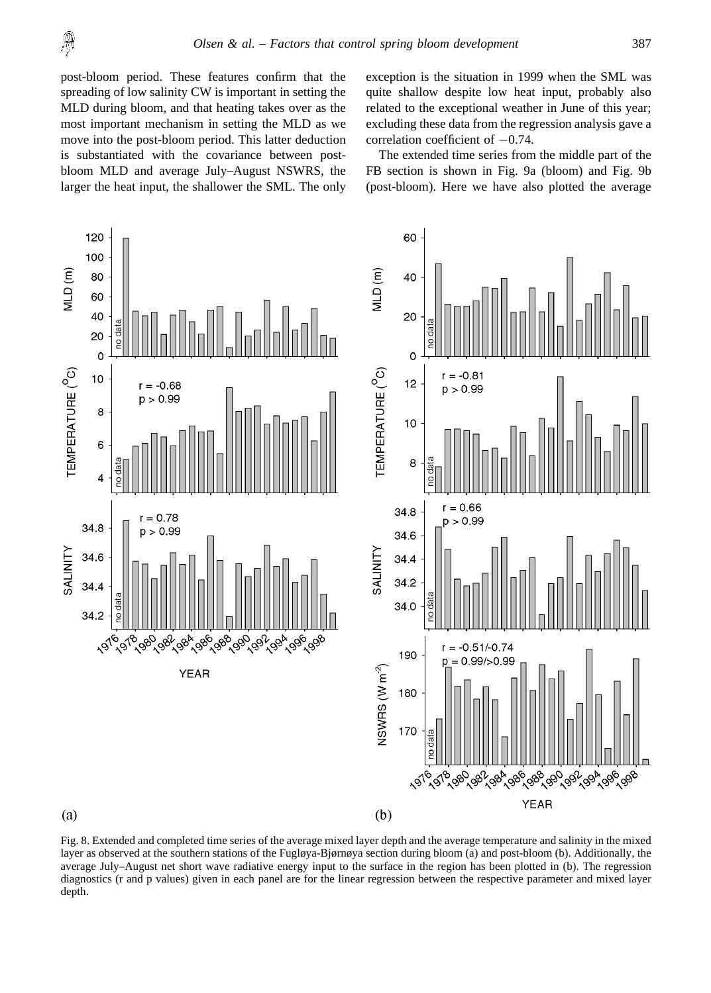post-bloom period. These features confirm that the spreading of low salinity CW is important in setting the MLD during bloom, and that heating takes over as the most important mechanism in setting the MLD as we move into the post-bloom period. This latter deduction is substantiated with the covariance between postbloom MLD and average July–August NSWRS, the larger the heat input, the shallower the SML. The only

霁

exception is the situation in 1999 when the SML was quite shallow despite low heat input, probably also related to the exceptional weather in June of this year; excluding these data from the regression analysis gave a correlation coefficient of  $-0.74$ .

The extended time series from the middle part of the FB section is shown in Fig. 9a (bloom) and Fig. 9b (post-bloom). Here we have also plotted the average



Fig. 8. Extended and completed time series of the average mixed layer depth and the average temperature and salinity in the mixed layer as observed at the southern stations of the Fugløya-Bjørnøya section during bloom (a) and post-bloom (b). Additionally, the average July–August net short wave radiative energy input to the surface in the region has been plotted in (b). The regression diagnostics (r and p values) given in each panel are for the linear regression between the respective parameter and mixed layer depth.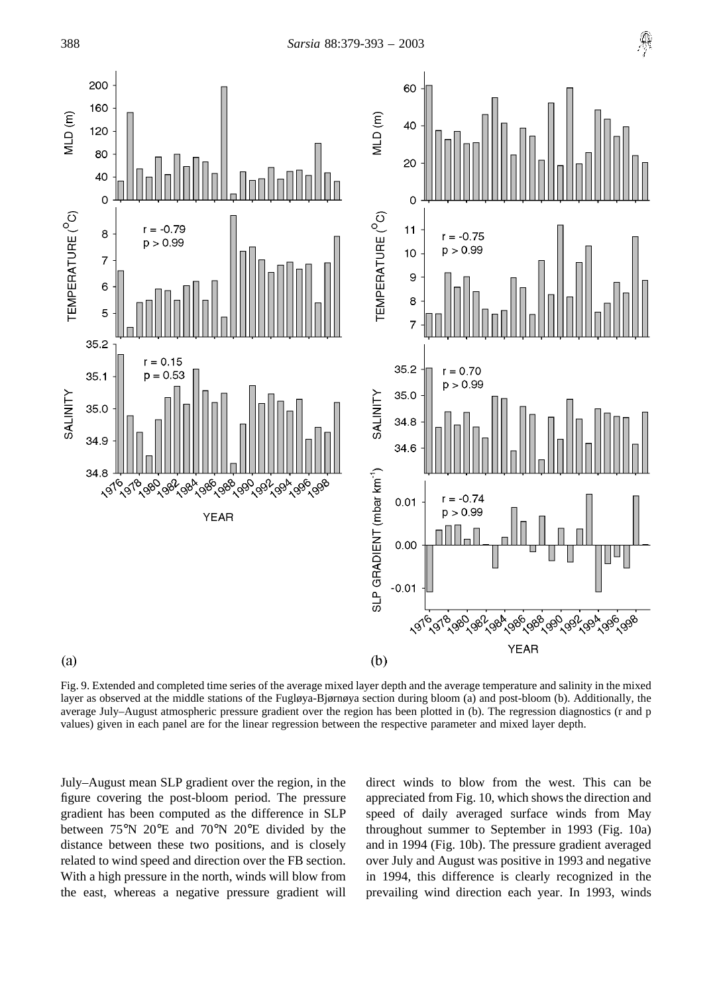

Fig. 9. Extended and completed time series of the average mixed layer depth and the average temperature and salinity in the mixed layer as observed at the middle stations of the Fugløya-Bjørnøya section during bloom (a) and post-bloom (b). Additionally, the average July–August atmospheric pressure gradient over the region has been plotted in (b). The regression diagnostics (r and p values) given in each panel are for the linear regression between the respective parameter and mixed layer depth.

July–August mean SLP gradient over the region, in the figure covering the post-bloom period. The pressure gradient has been computed as the difference in SLP between 75°N 20°E and 70°N 20°E divided by the distance between these two positions, and is closely related to wind speed and direction over the FB section. With a high pressure in the north, winds will blow from the east, whereas a negative pressure gradient will direct winds to blow from the west. This can be appreciated from Fig. 10, which shows the direction and speed of daily averaged surface winds from May throughout summer to September in 1993 (Fig. 10a) and in 1994 (Fig. 10b). The pressure gradient averaged over July and August was positive in 1993 and negative in 1994, this difference is clearly recognized in the prevailing wind direction each year. In 1993, winds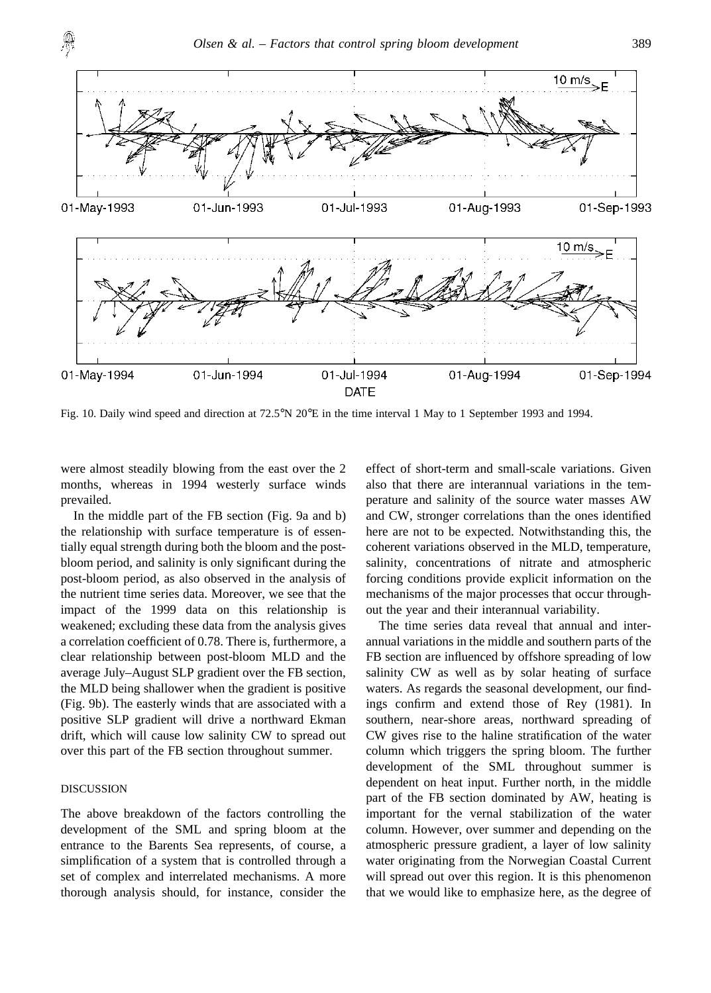

Fig. 10. Daily wind speed and direction at 72.5°N 20°E in the time interval 1 May to 1 September 1993 and 1994.

were almost steadily blowing from the east over the 2 months, whereas in 1994 westerly surface winds prevailed.

In the middle part of the FB section (Fig. 9a and b) the relationship with surface temperature is of essentially equal strength during both the bloom and the postbloom period, and salinity is only significant during the post-bloom period, as also observed in the analysis of the nutrient time series data. Moreover, we see that the impact of the 1999 data on this relationship is weakened; excluding these data from the analysis gives a correlation coefficient of 0.78. There is, furthermore, a clear relationship between post-bloom MLD and the average July–August SLP gradient over the FB section, the MLD being shallower when the gradient is positive (Fig. 9b). The easterly winds that are associated with a positive SLP gradient will drive a northward Ekman drift, which will cause low salinity CW to spread out over this part of the FB section throughout summer.

### DISCUSSION

The above breakdown of the factors controlling the development of the SML and spring bloom at the entrance to the Barents Sea represents, of course, a simplification of a system that is controlled through a set of complex and interrelated mechanisms. A more thorough analysis should, for instance, consider the effect of short-term and small-scale variations. Given also that there are interannual variations in the temperature and salinity of the source water masses AW and CW, stronger correlations than the ones identified here are not to be expected. Notwithstanding this, the coherent variations observed in the MLD, temperature, salinity, concentrations of nitrate and atmospheric forcing conditions provide explicit information on the mechanisms of the major processes that occur throughout the year and their interannual variability.

The time series data reveal that annual and interannual variations in the middle and southern parts of the FB section are influenced by offshore spreading of low salinity CW as well as by solar heating of surface waters. As regards the seasonal development, our findings confirm and extend those of Rey (1981). In southern, near-shore areas, northward spreading of CW gives rise to the haline stratification of the water column which triggers the spring bloom. The further development of the SML throughout summer is dependent on heat input. Further north, in the middle part of the FB section dominated by AW, heating is important for the vernal stabilization of the water column. However, over summer and depending on the atmospheric pressure gradient, a layer of low salinity water originating from the Norwegian Coastal Current will spread out over this region. It is this phenomenon that we would like to emphasize here, as the degree of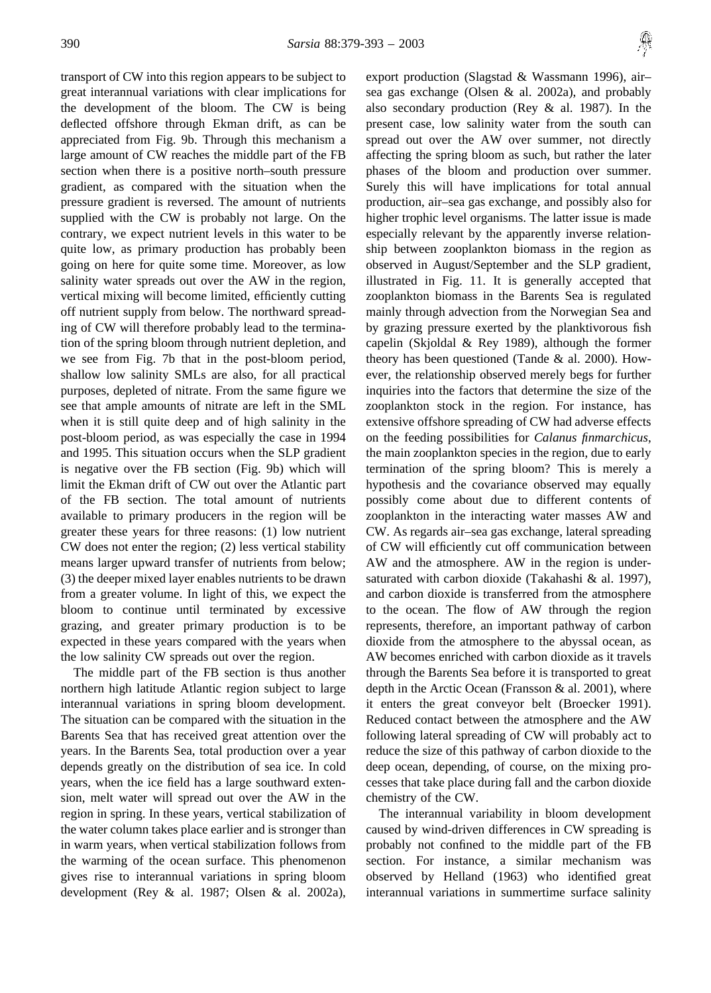transport of CW into this region appears to be subject to great interannual variations with clear implications for the development of the bloom. The CW is being deflected offshore through Ekman drift, as can be appreciated from Fig. 9b. Through this mechanism a large amount of CW reaches the middle part of the FB section when there is a positive north–south pressure gradient, as compared with the situation when the pressure gradient is reversed. The amount of nutrients supplied with the CW is probably not large. On the contrary, we expect nutrient levels in this water to be quite low, as primary production has probably been going on here for quite some time. Moreover, as low salinity water spreads out over the AW in the region. vertical mixing will become limited, efficiently cutting off nutrient supply from below. The northward spreading of CW will therefore probably lead to the termination of the spring bloom through nutrient depletion, and we see from Fig. 7b that in the post-bloom period, shallow low salinity SMLs are also, for all practical purposes, depleted of nitrate. From the same figure we see that ample amounts of nitrate are left in the SML when it is still quite deep and of high salinity in the post-bloom period, as was especially the case in 1994 and 1995. This situation occurs when the SLP gradient is negative over the FB section (Fig. 9b) which will limit the Ekman drift of CW out over the Atlantic part of the FB section. The total amount of nutrients available to primary producers in the region will be greater these years for three reasons: (1) low nutrient CW does not enter the region; (2) less vertical stability means larger upward transfer of nutrients from below; (3) the deeper mixed layer enables nutrients to be drawn from a greater volume. In light of this, we expect the bloom to continue until terminated by excessive grazing, and greater primary production is to be expected in these years compared with the years when the low salinity CW spreads out over the region.

The middle part of the FB section is thus another northern high latitude Atlantic region subject to large interannual variations in spring bloom development. The situation can be compared with the situation in the Barents Sea that has received great attention over the years. In the Barents Sea, total production over a year depends greatly on the distribution of sea ice. In cold years, when the ice field has a large southward extension, melt water will spread out over the AW in the region in spring. In these years, vertical stabilization of the water column takes place earlier and is stronger than in warm years, when vertical stabilization follows from the warming of the ocean surface. This phenomenon gives rise to interannual variations in spring bloom development (Rey & al. 1987; Olsen & al. 2002a), export production (Slagstad & Wassmann 1996), air– sea gas exchange (Olsen & al. 2002a), and probably also secondary production (Rey & al. 1987). In the present case, low salinity water from the south can spread out over the AW over summer, not directly affecting the spring bloom as such, but rather the later phases of the bloom and production over summer. Surely this will have implications for total annual production, air–sea gas exchange, and possibly also for higher trophic level organisms. The latter issue is made especially relevant by the apparently inverse relationship between zooplankton biomass in the region as observed in August/September and the SLP gradient, illustrated in Fig. 11. It is generally accepted that zooplankton biomass in the Barents Sea is regulated mainly through advection from the Norwegian Sea and by grazing pressure exerted by the planktivorous fish capelin (Skjoldal & Rey 1989), although the former theory has been questioned (Tande  $&$  al. 2000). However, the relationship observed merely begs for further inquiries into the factors that determine the size of the zooplankton stock in the region. For instance, has extensive offshore spreading of CW had adverse effects on the feeding possibilities for *Calanus finmarchicus*, the main zooplankton species in the region, due to early termination of the spring bloom? This is merely a hypothesis and the covariance observed may equally possibly come about due to different contents of zooplankton in the interacting water masses AW and CW. As regards air–sea gas exchange, lateral spreading of CW will efficiently cut off communication between AW and the atmosphere. AW in the region is undersaturated with carbon dioxide (Takahashi & al. 1997), and carbon dioxide is transferred from the atmosphere to the ocean. The flow of AW through the region represents, therefore, an important pathway of carbon dioxide from the atmosphere to the abyssal ocean, as AW becomes enriched with carbon dioxide as it travels through the Barents Sea before it is transported to great depth in the Arctic Ocean (Fransson & al. 2001), where it enters the great conveyor belt (Broecker 1991). Reduced contact between the atmosphere and the AW following lateral spreading of CW will probably act to reduce the size of this pathway of carbon dioxide to the deep ocean, depending, of course, on the mixing processes that take place during fall and the carbon dioxide chemistry of the CW.

The interannual variability in bloom development caused by wind-driven differences in CW spreading is probably not confined to the middle part of the FB section. For instance, a similar mechanism was observed by Helland (1963) who identified great interannual variations in summertime surface salinity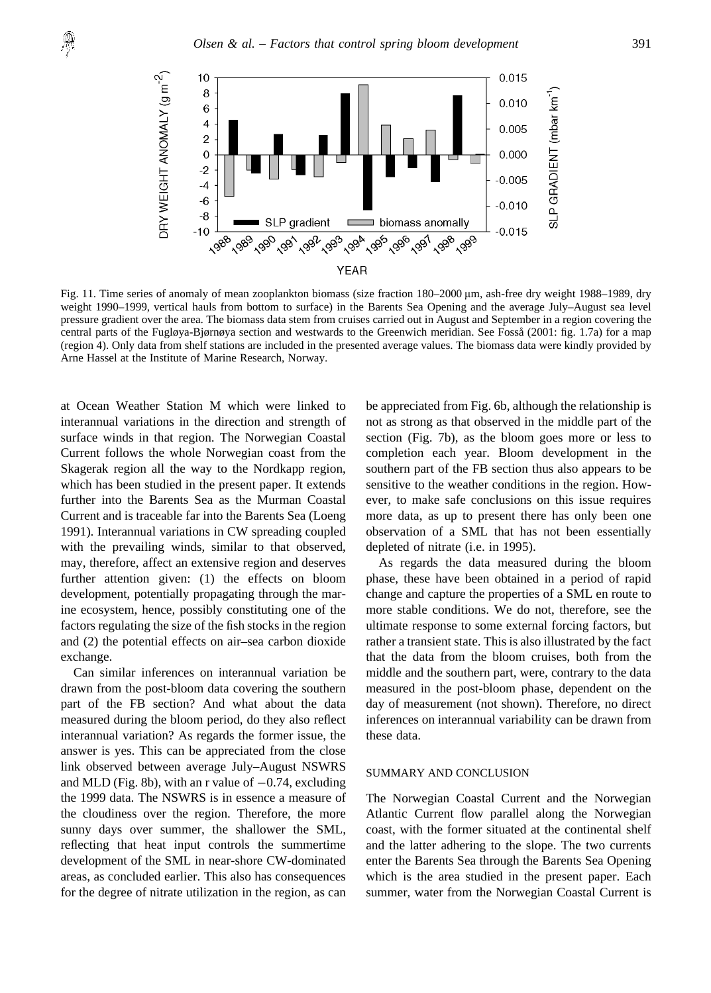

Fig. 11. Time series of anomaly of mean zooplankton biomass (size fraction 180–2000 µm, ash-free dry weight 1988–1989, dry weight 1990–1999, vertical hauls from bottom to surface) in the Barents Sea Opening and the average July–August sea level pressure gradient over the area. The biomass data stem from cruises carried out in August and September in a region covering the central parts of the Fugløya-Bjørnøya section and westwards to the Greenwich meridian. See Fosså (2001: fig. 1.7a) for a map (region 4). Only data from shelf stations are included in the presented average values. The biomass data were kindly provided by Arne Hassel at the Institute of Marine Research, Norway.

at Ocean Weather Station M which were linked to interannual variations in the direction and strength of surface winds in that region. The Norwegian Coastal Current follows the whole Norwegian coast from the Skagerak region all the way to the Nordkapp region, which has been studied in the present paper. It extends further into the Barents Sea as the Murman Coastal Current and is traceable far into the Barents Sea (Loeng 1991). Interannual variations in CW spreading coupled with the prevailing winds, similar to that observed, may, therefore, affect an extensive region and deserves further attention given: (1) the effects on bloom development, potentially propagating through the marine ecosystem, hence, possibly constituting one of the factors regulating the size of the fish stocks in the region and (2) the potential effects on air–sea carbon dioxide exchange.

Can similar inferences on interannual variation be drawn from the post-bloom data covering the southern part of the FB section? And what about the data measured during the bloom period, do they also reflect interannual variation? As regards the former issue, the answer is yes. This can be appreciated from the close link observed between average July–August NSWRS and MLD (Fig. 8b), with an r value of  $-0.74$ , excluding the 1999 data. The NSWRS is in essence a measure of the cloudiness over the region. Therefore, the more sunny days over summer, the shallower the SML, reflecting that heat input controls the summertime development of the SML in near-shore CW-dominated areas, as concluded earlier. This also has consequences for the degree of nitrate utilization in the region, as can be appreciated from Fig. 6b, although the relationship is not as strong as that observed in the middle part of the section (Fig. 7b), as the bloom goes more or less to completion each year. Bloom development in the southern part of the FB section thus also appears to be sensitive to the weather conditions in the region. However, to make safe conclusions on this issue requires more data, as up to present there has only been one observation of a SML that has not been essentially depleted of nitrate (i.e. in 1995).

As regards the data measured during the bloom phase, these have been obtained in a period of rapid change and capture the properties of a SML en route to more stable conditions. We do not, therefore, see the ultimate response to some external forcing factors, but rather a transient state. This is also illustrated by the fact that the data from the bloom cruises, both from the middle and the southern part, were, contrary to the data measured in the post-bloom phase, dependent on the day of measurement (not shown). Therefore, no direct inferences on interannual variability can be drawn from these data.

### SUMMARY AND CONCLUSION

The Norwegian Coastal Current and the Norwegian Atlantic Current flow parallel along the Norwegian coast, with the former situated at the continental shelf and the latter adhering to the slope. The two currents enter the Barents Sea through the Barents Sea Opening which is the area studied in the present paper. Each summer, water from the Norwegian Coastal Current is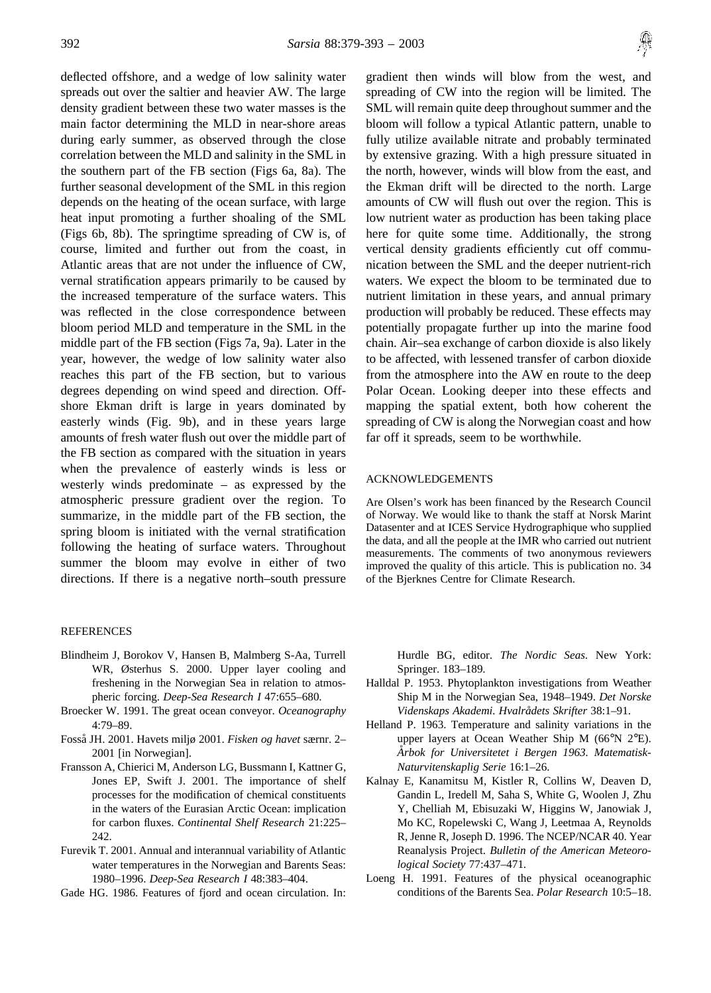deflected offshore, and a wedge of low salinity water spreads out over the saltier and heavier AW. The large density gradient between these two water masses is the main factor determining the MLD in near-shore areas during early summer, as observed through the close correlation between the MLD and salinity in the SML in the southern part of the FB section (Figs 6a, 8a). The further seasonal development of the SML in this region depends on the heating of the ocean surface, with large heat input promoting a further shoaling of the SML (Figs 6b, 8b). The springtime spreading of CW is, of course, limited and further out from the coast, in Atlantic areas that are not under the influence of CW, vernal stratification appears primarily to be caused by the increased temperature of the surface waters. This was reflected in the close correspondence between bloom period MLD and temperature in the SML in the middle part of the FB section (Figs 7a, 9a). Later in the year, however, the wedge of low salinity water also reaches this part of the FB section, but to various degrees depending on wind speed and direction. Offshore Ekman drift is large in years dominated by easterly winds (Fig. 9b), and in these years large amounts of fresh water flush out over the middle part of the FB section as compared with the situation in years when the prevalence of easterly winds is less or westerly winds predominate – as expressed by the atmospheric pressure gradient over the region. To summarize, in the middle part of the FB section, the spring bloom is initiated with the vernal stratification following the heating of surface waters. Throughout summer the bloom may evolve in either of two directions. If there is a negative north–south pressure

#### REFERENCES

- Blindheim J, Borokov V, Hansen B, Malmberg S-Aa, Turrell WR, Østerhus S. 2000. Upper layer cooling and freshening in the Norwegian Sea in relation to atmospheric forcing. *Deep-Sea Research I* 47:655–680.
- Broecker W. 1991. The great ocean conveyor. *Oceanography* 4:79–89.
- Fossa˚ JH. 2001. Havets miljø 2001. *Fisken og havet* særnr. 2– 2001 [in Norwegian].
- Fransson A, Chierici M, Anderson LG, Bussmann I, Kattner G, Jones EP, Swift J. 2001. The importance of shelf processes for the modification of chemical constituents in the waters of the Eurasian Arctic Ocean: implication for carbon fluxes. *Continental Shelf Research* 21:225– 242.
- Furevik T. 2001. Annual and interannual variability of Atlantic water temperatures in the Norwegian and Barents Seas: 1980–1996. *Deep-Sea Research I* 48:383–404.
- Gade HG. 1986. Features of fjord and ocean circulation. In:

gradient then winds will blow from the west, and spreading of CW into the region will be limited. The SML will remain quite deep throughout summer and the bloom will follow a typical Atlantic pattern, unable to fully utilize available nitrate and probably terminated by extensive grazing. With a high pressure situated in the north, however, winds will blow from the east, and the Ekman drift will be directed to the north. Large amounts of CW will flush out over the region. This is low nutrient water as production has been taking place here for quite some time. Additionally, the strong vertical density gradients efficiently cut off communication between the SML and the deeper nutrient-rich waters. We expect the bloom to be terminated due to nutrient limitation in these years, and annual primary production will probably be reduced. These effects may potentially propagate further up into the marine food chain. Air–sea exchange of carbon dioxide is also likely to be affected, with lessened transfer of carbon dioxide from the atmosphere into the AW en route to the deep Polar Ocean. Looking deeper into these effects and mapping the spatial extent, both how coherent the spreading of CW is along the Norwegian coast and how far off it spreads, seem to be worthwhile.

#### ACKNOWLEDGEMENTS

Are Olsen's work has been financed by the Research Council of Norway. We would like to thank the staff at Norsk Marint Datasenter and at ICES Service Hydrographique who supplied the data, and all the people at the IMR who carried out nutrient measurements. The comments of two anonymous reviewers improved the quality of this article. This is publication no. 34 of the Bjerknes Centre for Climate Research.

Hurdle BG, editor. *The Nordic Seas*. New York: Springer. 183–189.

- Halldal P. 1953. Phytoplankton investigations from Weather Ship M in the Norwegian Sea, 1948–1949. *Det Norske Videnskaps Akademi. Hvalra˚dets Skrifter* 38:1–91.
- Helland P. 1963. Temperature and salinity variations in the upper layers at Ocean Weather Ship M (66°N 2°E). Arbok for Universitetet i Bergen 1963. Matematisk-*Naturvitenskaplig Serie* 16:1–26.
- Kalnay E, Kanamitsu M, Kistler R, Collins W, Deaven D, Gandin L, Iredell M, Saha S, White G, Woolen J, Zhu Y, Chelliah M, Ebisuzaki W, Higgins W, Janowiak J, Mo KC, Ropelewski C, Wang J, Leetmaa A, Reynolds R, Jenne R, Joseph D. 1996. The NCEP/NCAR 40. Year Reanalysis Project. *Bulletin of the American Meteorological Society* 77:437–471.
- Loeng H. 1991. Features of the physical oceanographic conditions of the Barents Sea. *Polar Research* 10:5–18.